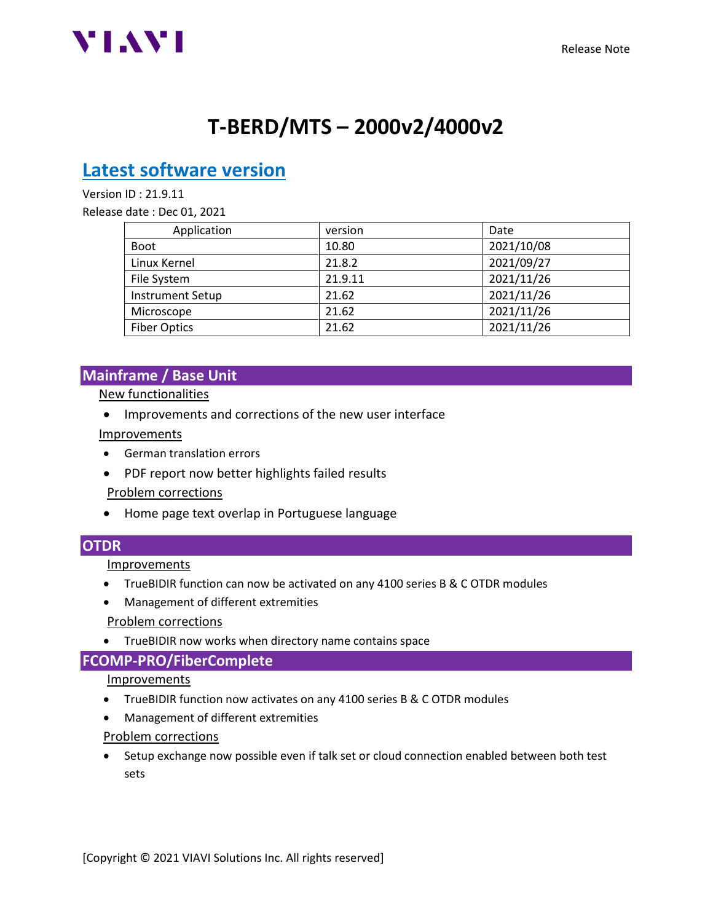

# **T-BERD/MTS – 2000v2/4000v2**

## **Latest software version**

Version ID : 21.9.11

Release date : Dec 01, 2021

| Application         | version | Date       |
|---------------------|---------|------------|
| <b>Boot</b>         | 10.80   | 2021/10/08 |
| Linux Kernel        | 21.8.2  | 2021/09/27 |
| File System         | 21.9.11 | 2021/11/26 |
| Instrument Setup    | 21.62   | 2021/11/26 |
| Microscope          | 21.62   | 2021/11/26 |
| <b>Fiber Optics</b> | 21.62   | 2021/11/26 |

## **Mainframe / Base Unit**

New functionalities

• Improvements and corrections of the new user interface

#### Improvements

- German translation errors
- PDF report now better highlights failed results

#### Problem corrections

• Home page text overlap in Portuguese language

## **OTDR**

Improvements

- TrueBIDIR function can now be activated on any 4100 series B & C OTDR modules
- Management of different extremities

#### Problem corrections

• TrueBIDIR now works when directory name contains space

## **FCOMP-PRO/FiberComplete**

#### Improvements

- TrueBIDIR function now activates on any 4100 series B & C OTDR modules
- Management of different extremities

#### Problem corrections

• Setup exchange now possible even if talk set or cloud connection enabled between both test sets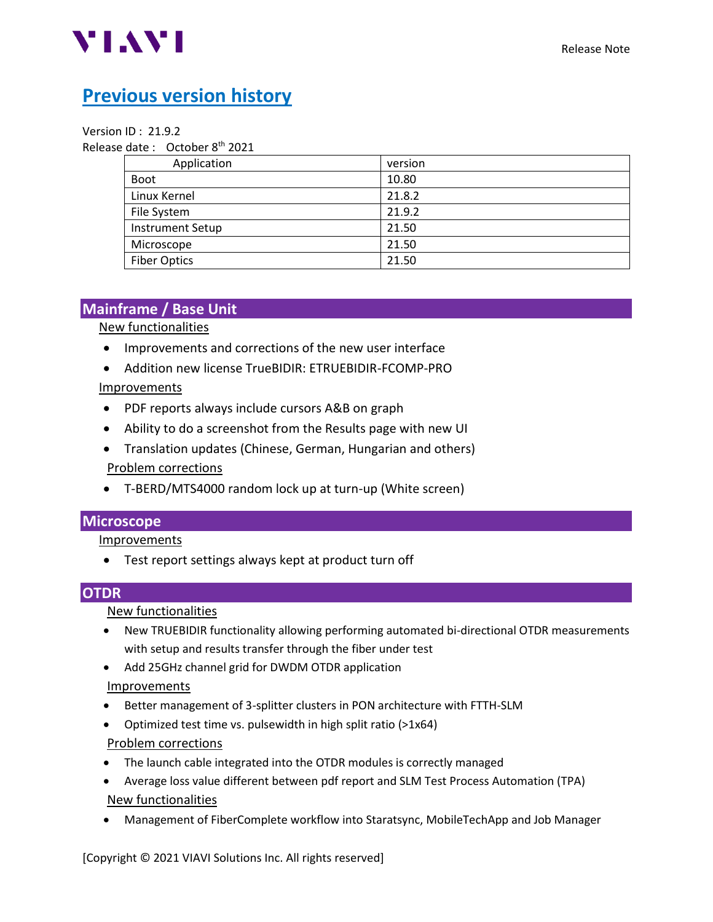

## **Previous version history**

#### Version ID : 21.9.2

Release date: October 8<sup>th</sup> 2021

| Application             | version |
|-------------------------|---------|
| <b>Boot</b>             | 10.80   |
| Linux Kernel            | 21.8.2  |
| File System             | 21.9.2  |
| <b>Instrument Setup</b> | 21.50   |
| Microscope              | 21.50   |
| <b>Fiber Optics</b>     | 21.50   |

## **Mainframe / Base Unit**

New functionalities

- Improvements and corrections of the new user interface
- Addition new license TrueBIDIR: ETRUEBIDIR-FCOMP-PRO

## Improvements

- PDF reports always include cursors A&B on graph
- Ability to do a screenshot from the Results page with new UI
- Translation updates (Chinese, German, Hungarian and others) Problem corrections
- T-BERD/MTS4000 random lock up at turn-up (White screen)

## **Microscope**

Improvements

• Test report settings always kept at product turn off

## **OTDR**

## New functionalities

- New TRUEBIDIR functionality allowing performing automated bi-directional OTDR measurements with setup and results transfer through the fiber under test
- Add 25GHz channel grid for DWDM OTDR application

## Improvements

- Better management of 3-splitter clusters in PON architecture with FTTH-SLM
- Optimized test time vs. pulsewidth in high split ratio (>1x64)

## Problem corrections

- The launch cable integrated into the OTDR modules is correctly managed
- Average loss value different between pdf report and SLM Test Process Automation (TPA) New functionalities
- Management of FiberComplete workflow into Staratsync, MobileTechApp and Job Manager

[Copyright © 2021 VIAVI Solutions Inc. All rights reserved]